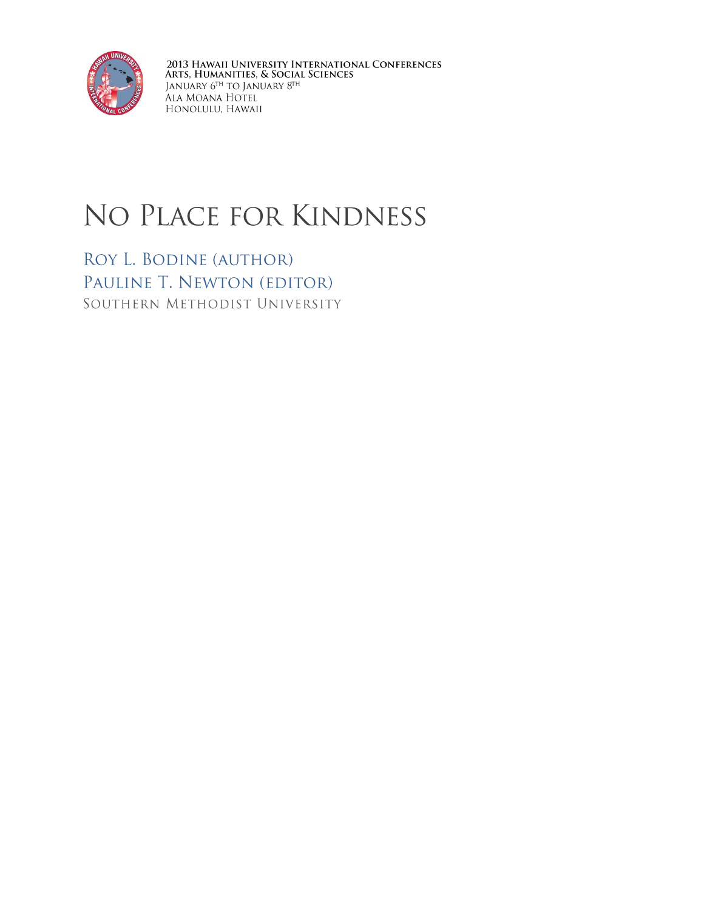

2013 Hawaii University International Conferences<br>Arts, Humanities, & Social Sciences<br>January 6<sup>th</sup> to January 8<sup>th</sup><br>Ala Moana Hotel<br>Honolulu, Hawaii

## NO PLACE FOR KINDNESS

ROY L. BODINE (AUTHOR) PAULINE T. NEWTON (EDITOR) SOUTHERN METHODIST UNIVERSITY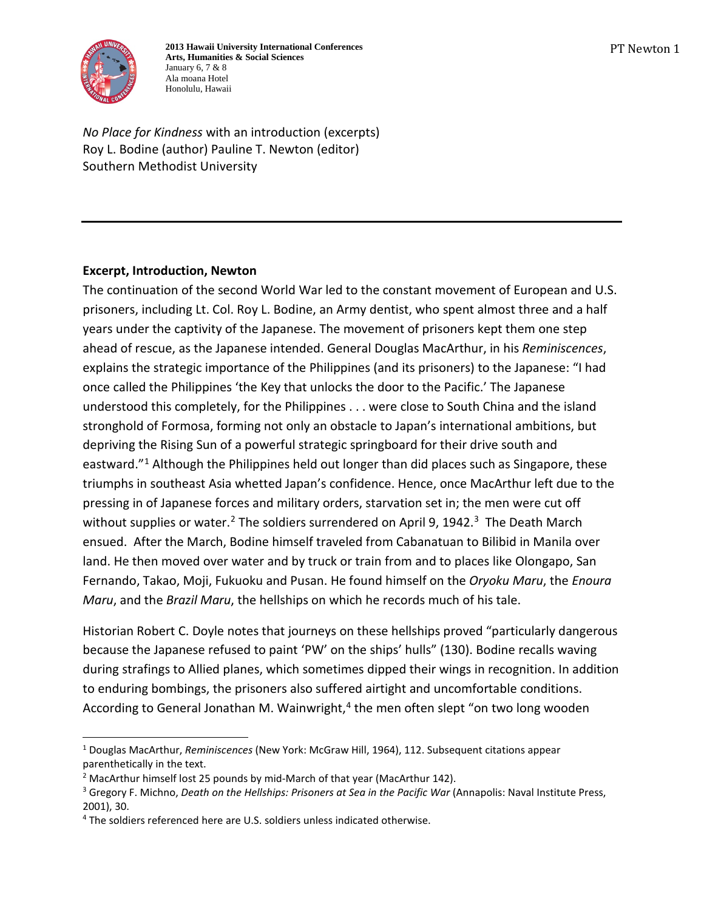

**2013 Hawaii University International Conferences Arts, Humanities & Social Sciences** January 6, 7 & 8 Ala moana Hotel Honolulu, Hawaii

*No Place for Kindness* with an introduction (excerpts) Roy L. Bodine (author) Pauline T. Newton (editor) Southern Methodist University

## **Excerpt, Introduction, Newton**

The continuation of the second World War led to the constant movement of European and U.S. prisoners, including Lt. Col. Roy L. Bodine, an Army dentist, who spent almost three and a half years under the captivity of the Japanese. The movement of prisoners kept them one step ahead of rescue, as the Japanese intended. General Douglas MacArthur, in his *Reminiscences*, explains the strategic importance of the Philippines (and its prisoners) to the Japanese: "I had once called the Philippines 'the Key that unlocks the door to the Pacific.' The Japanese understood this completely, for the Philippines . . . were close to South China and the island stronghold of Formosa, forming not only an obstacle to Japan's international ambitions, but depriving the Rising Sun of a powerful strategic springboard for their drive south and eastward."<sup>[1](#page-1-0)</sup> Although the Philippines held out longer than did places such as Singapore, these triumphs in southeast Asia whetted Japan's confidence. Hence, once MacArthur left due to the pressing in of Japanese forces and military orders, starvation set in; the men were cut off without supplies or water.<sup>[2](#page-1-1)</sup> The soldiers surrendered on April 9, 1942.<sup>3</sup> The Death March ensued. After the March, Bodine himself traveled from Cabanatuan to Bilibid in Manila over land. He then moved over water and by truck or train from and to places like Olongapo, San Fernando, Takao, Moji, Fukuoku and Pusan. He found himself on the *Oryoku Maru*, the *Enoura Maru*, and the *Brazil Maru*, the hellships on which he records much of his tale.

Historian Robert C. Doyle notes that journeys on these hellships proved "particularly dangerous because the Japanese refused to paint 'PW' on the ships' hulls" (130). Bodine recalls waving during strafings to Allied planes, which sometimes dipped their wings in recognition. In addition to enduring bombings, the prisoners also suffered airtight and uncomfortable conditions. According to General Jonathan M. Wainwright, $4$  the men often slept "on two long wooden

<span id="page-1-0"></span><sup>1</sup> Douglas MacArthur, *Reminiscences* (New York: McGraw Hill, 1964), 112. Subsequent citations appear parenthetically in the text.

<span id="page-1-2"></span><span id="page-1-1"></span><sup>&</sup>lt;sup>2</sup> MacArthur himself lost 25 pounds by mid-March of that year (MacArthur 142).<br><sup>3</sup> Gregory F. Michno, *Death on the Hellships: Prisoners at Sea in the Pacific War* (Annapolis: Naval Institute Press, 2001), 30.

<span id="page-1-3"></span><sup>&</sup>lt;sup>4</sup> The soldiers referenced here are U.S. soldiers unless indicated otherwise.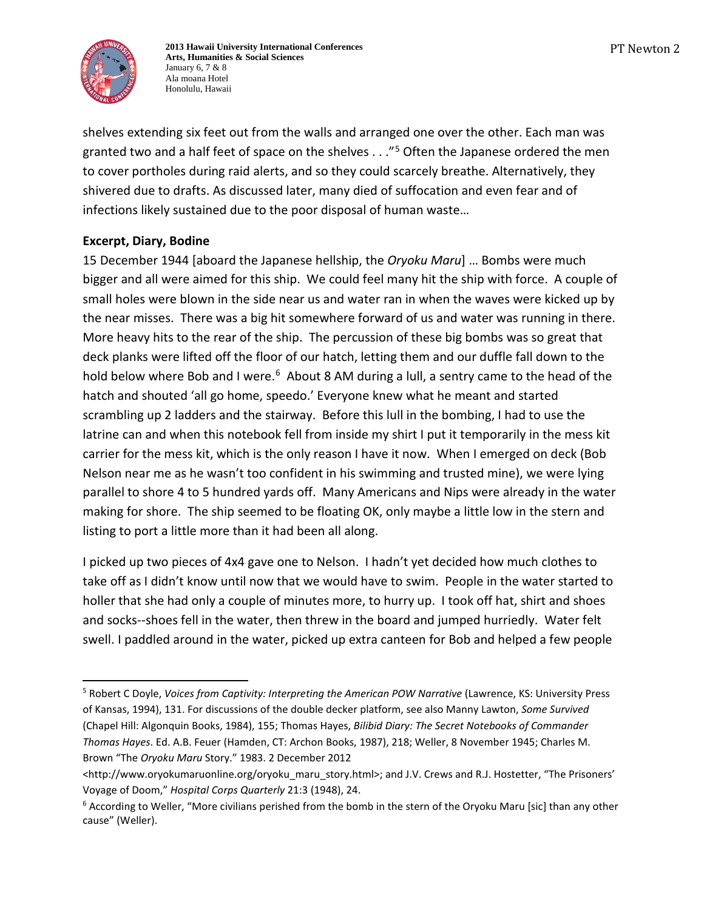

**2013 Hawaii University International Conferences Arts, Humanities & Social Sciences** January 6, 7 & 8 Ala moana Hotel Honolulu, Hawaii

shelves extending six feet out from the walls and arranged one over the other. Each man was granted two and a half feet of space on the shelves . . . "<sup>[5](#page-2-0)</sup> Often the Japanese ordered the men to cover portholes during raid alerts, and so they could scarcely breathe. Alternatively, they shivered due to drafts. As discussed later, many died of suffocation and even fear and of infections likely sustained due to the poor disposal of human waste…

## **Excerpt, Diary, Bodine**

15 December 1944 [aboard the Japanese hellship, the *Oryoku Maru*] … Bombs were much bigger and all were aimed for this ship. We could feel many hit the ship with force. A couple of small holes were blown in the side near us and water ran in when the waves were kicked up by the near misses. There was a big hit somewhere forward of us and water was running in there. More heavy hits to the rear of the ship. The percussion of these big bombs was so great that deck planks were lifted off the floor of our hatch, letting them and our duffle fall down to the hold below where Bob and I were.<sup>6</sup> About 8 AM during a lull, a sentry came to the head of the hatch and shouted 'all go home, speedo.' Everyone knew what he meant and started scrambling up 2 ladders and the stairway. Before this lull in the bombing, I had to use the latrine can and when this notebook fell from inside my shirt I put it temporarily in the mess kit carrier for the mess kit, which is the only reason I have it now. When I emerged on deck (Bob Nelson near me as he wasn't too confident in his swimming and trusted mine), we were lying parallel to shore 4 to 5 hundred yards off. Many Americans and Nips were already in the water making for shore. The ship seemed to be floating OK, only maybe a little low in the stern and listing to port a little more than it had been all along.

I picked up two pieces of 4x4 gave one to Nelson. I hadn't yet decided how much clothes to take off as I didn't know until now that we would have to swim. People in the water started to holler that she had only a couple of minutes more, to hurry up. I took off hat, shirt and shoes and socks--shoes fell in the water, then threw in the board and jumped hurriedly. Water felt swell. I paddled around in the water, picked up extra canteen for Bob and helped a few people

<span id="page-2-0"></span><sup>5</sup> Robert C Doyle, *Voices from Captivity: Interpreting the American POW Narrative* (Lawrence, KS: University Press of Kansas, 1994), 131. For discussions of the double decker platform, see also Manny Lawton, *Some Survived* (Chapel Hill: Algonquin Books, 1984), 155; Thomas Hayes, *Bilibid Diary: The Secret Notebooks of Commander Thomas Hayes*. Ed. A.B. Feuer (Hamden, CT: Archon Books, 1987), 218; Weller, 8 November 1945; Charles M. Brown "The *Oryoku Maru* Story." 1983. 2 December 2012 j

<sup>&</sup>lt;http://www.oryokumaruonline.org/oryoku\_maru\_story.html>; and J.V. Crews and R.J. Hostetter, "The Prisoners' Voyage of Doom," *Hospital Corps Quarterly* 21:3 (1948), 24.

<span id="page-2-1"></span><sup>6</sup> According to Weller, "More civilians perished from the bomb in the stern of the Oryoku Maru [sic] than any other cause" (Weller).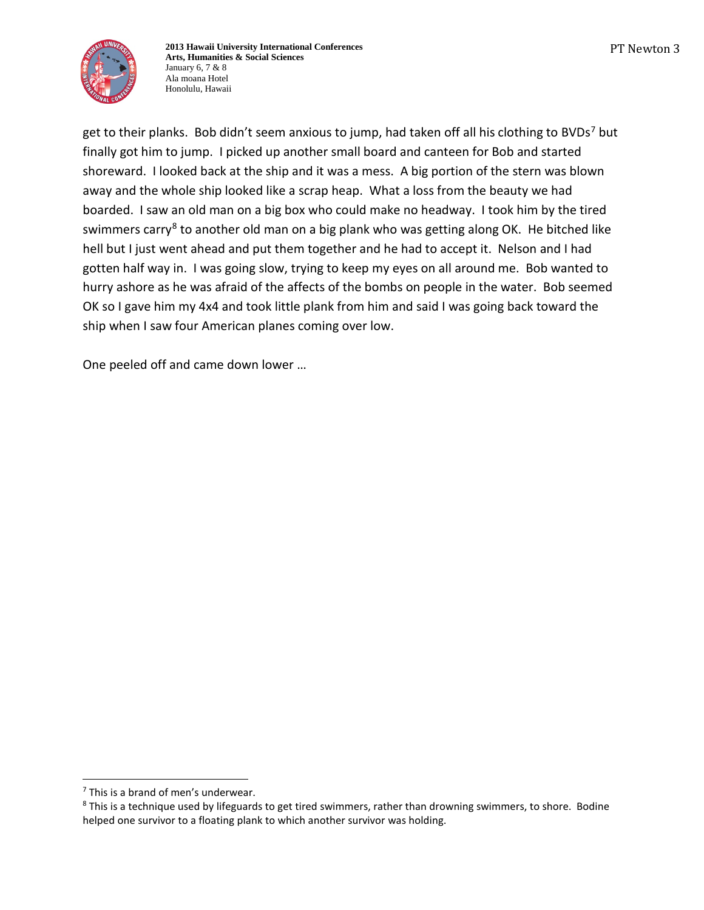

get to their planks. Bob didn't seem anxious to jump, had taken off all his clothing to BVDs<sup>[7](#page-3-0)</sup> but finally got him to jump. I picked up another small board and canteen for Bob and started shoreward. I looked back at the ship and it was a mess. A big portion of the stern was blown away and the whole ship looked like a scrap heap. What a loss from the beauty we had boarded. I saw an old man on a big box who could make no headway. I took him by the tired swimmers carry<sup>[8](#page-3-1)</sup> to another old man on a big plank who was getting along OK. He bitched like hell but I just went ahead and put them together and he had to accept it. Nelson and I had gotten half way in. I was going slow, trying to keep my eyes on all around me. Bob wanted to hurry ashore as he was afraid of the affects of the bombs on people in the water. Bob seemed OK so I gave him my 4x4 and took little plank from him and said I was going back toward the ship when I saw four American planes coming over low.

One peeled off and came down lower …

<span id="page-3-0"></span> $<sup>7</sup>$  This is a brand of men's underwear.</sup> j

<span id="page-3-1"></span><sup>&</sup>lt;sup>8</sup> This is a technique used by lifeguards to get tired swimmers, rather than drowning swimmers, to shore. Bodine helped one survivor to a floating plank to which another survivor was holding.